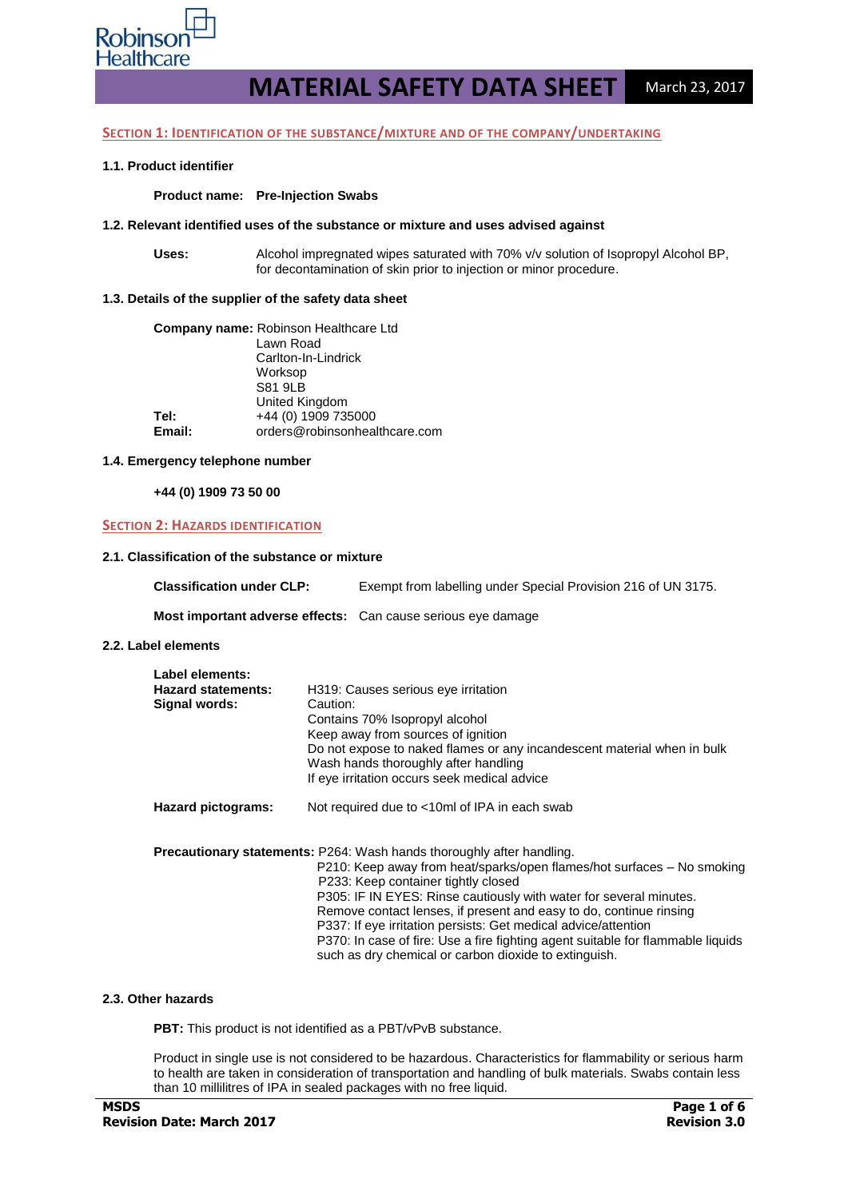

#### **SECTION 1: IDENTIFICATION OF THE SUBSTANCE/MIXTURE AND OF THE COMPANY/UNDERTAKING**

#### **1.1. Product identifier**

#### **Product name: Pre-Injection Swabs**

#### **1.2. Relevant identified uses of the substance or mixture and uses advised against**

**Uses:** Alcohol impregnated wipes saturated with 70% v/v solution of Isopropyl Alcohol BP, for decontamination of skin prior to injection or minor procedure.

#### **1.3. Details of the supplier of the safety data sheet**

| <b>Company name: Robinson Healthcare Ltd</b> |
|----------------------------------------------|
| Lawn Road                                    |
| Carlton-In-Lindrick                          |
| Worksop                                      |
| <b>S81 9LB</b>                               |
| United Kingdom                               |
| +44 (0) 1909 735000                          |
| orders@robinsonhealthcare.com                |
|                                              |

#### **1.4. Emergency telephone number**

**+44 (0) 1909 73 50 00**

#### **SECTION 2: HAZARDS IDENTIFICATION**

#### **2.1. Classification of the substance or mixture**

| <b>Classification under CLP:</b> | Exempt from labelling under Special Provision 216 of UN 3175. |
|----------------------------------|---------------------------------------------------------------|
|----------------------------------|---------------------------------------------------------------|

**Most important adverse effects:** Can cause serious eye damage

#### **2.2. Label elements**

| Label elements:           |                                                                                 |
|---------------------------|---------------------------------------------------------------------------------|
| <b>Hazard statements:</b> | H319: Causes serious eye irritation                                             |
| Signal words:             | Caution:                                                                        |
|                           | Contains 70% Isopropyl alcohol                                                  |
|                           | Keep away from sources of ignition                                              |
|                           | Do not expose to naked flames or any incandescent material when in bulk         |
|                           | Wash hands thoroughly after handling                                            |
|                           | If eye irritation occurs seek medical advice                                    |
| Hazard pictograms:        | Not required due to <10ml of IPA in each swab                                   |
|                           | <b>Precautionary statements:</b> P264: Wash hands thoroughly after handling.    |
|                           | P210: Keep away from heat/sparks/open flames/hot surfaces – No smoking          |
|                           | P233: Keep container tightly closed                                             |
|                           | P305: IF IN EYES: Rinse cautiously with water for several minutes.              |
|                           | Remove contact lenses, if present and easy to do, continue rinsing              |
|                           | P337: If eye irritation persists: Get medical advice/attention                  |
|                           | P370: In case of fire: Use a fire fighting agent suitable for flammable liquids |
|                           | such as dry chemical or carbon dioxide to extinguish.                           |

#### **2.3. Other hazards**

**PBT:** This product is not identified as a PBT/vPvB substance.

Product in single use is not considered to be hazardous. Characteristics for flammability or serious harm to health are taken in consideration of transportation and handling of bulk materials. Swabs contain less than 10 millilitres of IPA in sealed packages with no free liquid.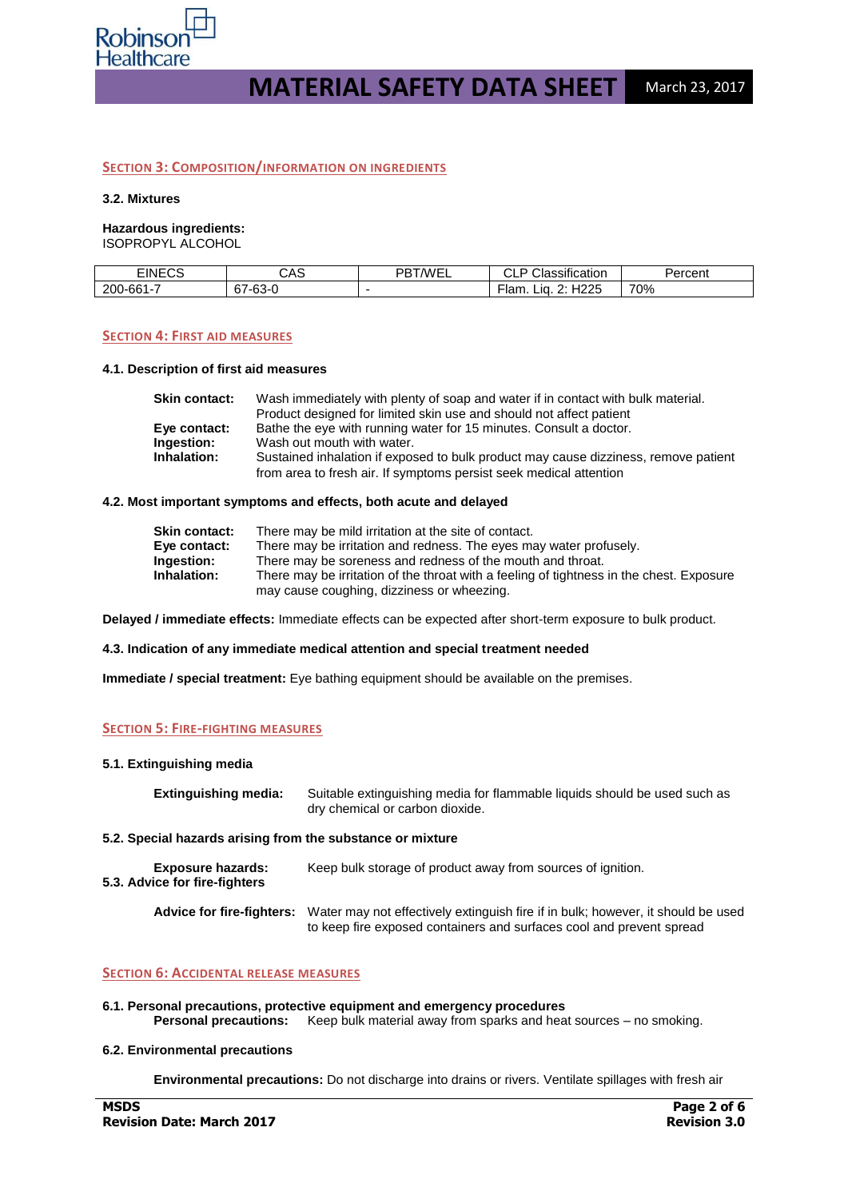

#### **SECTION 3: COMPOSITION/INFORMATION ON INGREDIENTS**

#### **3.2. Mixtures**

# **Hazardous ingredients:**

ISOPROPYL ALCOHOL

| ------<br>INE<br>ັບບ | CAS                           | DDTAME!<br>∣/WF | $\cdot$<br>.<br>. as<br>ication<br>◡∟ | ≏r∩≏nt<br>cent |
|----------------------|-------------------------------|-----------------|---------------------------------------|----------------|
| 200-66               | ~-<br>'-63<br>-<br>າວ-ບ<br>v, |                 | ロウウド<br>ъ.<br>Lıa.<br>≻lan.<br>י∠∠⊏   | 70%            |

#### **SECTION 4: FIRST AID MEASURES**

#### **4.1. Description of first aid measures**

| <b>Skin contact:</b> | Wash immediately with plenty of soap and water if in contact with bulk material.    |
|----------------------|-------------------------------------------------------------------------------------|
|                      | Product designed for limited skin use and should not affect patient                 |
| Eye contact:         | Bathe the eye with running water for 15 minutes. Consult a doctor.                  |
| Ingestion:           | Wash out mouth with water.                                                          |
| Inhalation:          | Sustained inhalation if exposed to bulk product may cause dizziness, remove patient |
|                      | from area to fresh air. If symptoms persist seek medical attention                  |

#### **4.2. Most important symptoms and effects, both acute and delayed**

| <b>Skin contact:</b> | There may be mild irritation at the site of contact.                                     |
|----------------------|------------------------------------------------------------------------------------------|
| Eye contact:         | There may be irritation and redness. The eyes may water profusely.                       |
| Ingestion:           | There may be soreness and redness of the mouth and throat.                               |
| Inhalation:          | There may be irritation of the throat with a feeling of tightness in the chest. Exposure |
|                      | may cause coughing, dizziness or wheezing.                                               |

**Delayed / immediate effects:** Immediate effects can be expected after short-term exposure to bulk product.

**4.3. Indication of any immediate medical attention and special treatment needed**

**Immediate / special treatment:** Eye bathing equipment should be available on the premises.

#### **SECTION 5: FIRE-FIGHTING MEASURES**

#### **5.1. Extinguishing media**

| <b>Extinguishing media:</b>                                | Suitable extinguishing media for flammable liquids should be used such as<br>dry chemical or carbon dioxide.                                                                       |
|------------------------------------------------------------|------------------------------------------------------------------------------------------------------------------------------------------------------------------------------------|
| 5.2. Special hazards arising from the substance or mixture |                                                                                                                                                                                    |
| <b>Exposure hazards:</b><br>5.3. Advice for fire-fighters  | Keep bulk storage of product away from sources of ignition.                                                                                                                        |
|                                                            | Advice for fire-fighters: Water may not effectively extinguish fire if in bulk; however, it should be used<br>to keep fire exposed containers and surfaces cool and prevent spread |

#### **SECTION 6: ACCIDENTAL RELEASE MEASURES**

**6.1. Personal precautions, protective equipment and emergency procedures Personal precautions:** Keep bulk material away from sparks and heat sources – no smoking.

#### **6.2. Environmental precautions**

**Environmental precautions:** Do not discharge into drains or rivers. Ventilate spillages with fresh air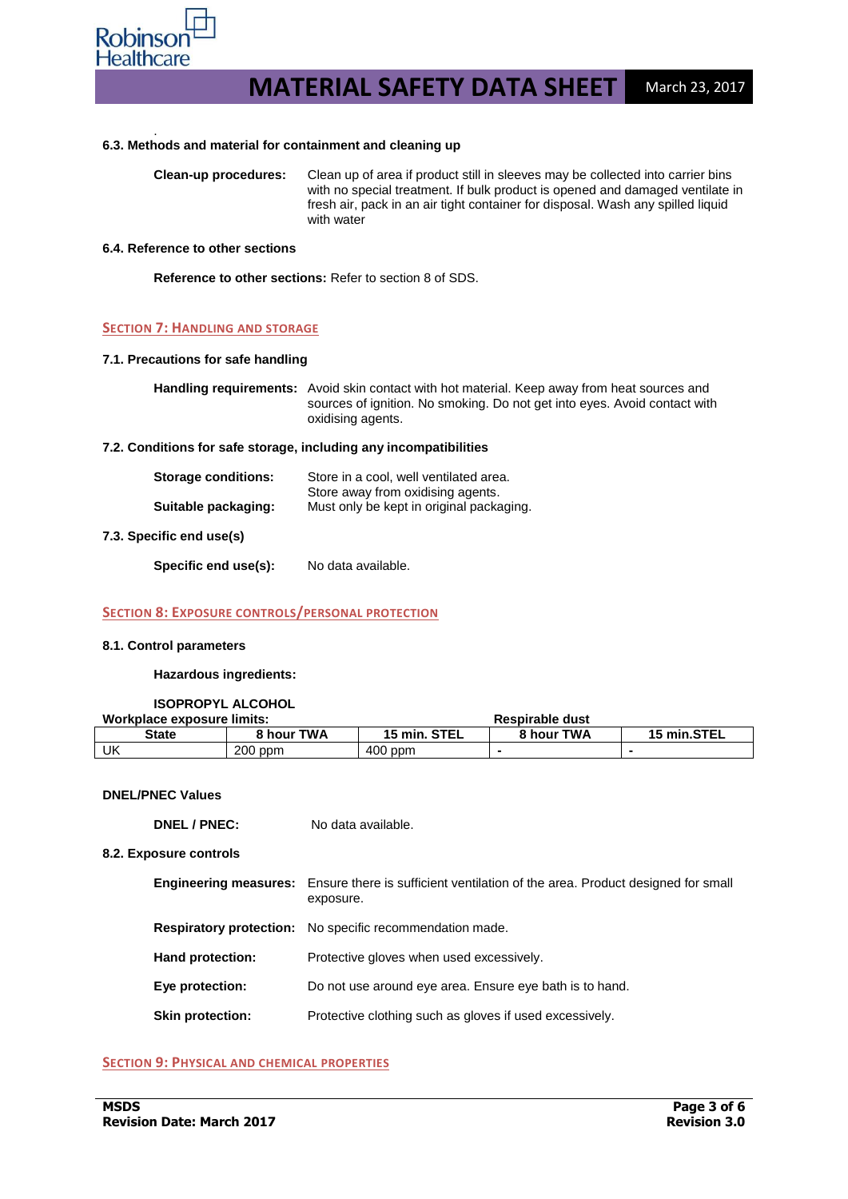

#### . **6.3. Methods and material for containment and cleaning up**

**Clean-up procedures:** Clean up of area if product still in sleeves may be collected into carrier bins with no special treatment. If bulk product is opened and damaged ventilate in fresh air, pack in an air tight container for disposal. Wash any spilled liquid with water

#### **6.4. Reference to other sections**

**Reference to other sections:** Refer to section 8 of SDS.

#### **SECTION 7: HANDLING AND STORAGE**

#### **7.1. Precautions for safe handling**

| <b>Handling requirements:</b> Avoid skin contact with hot material. Keep away from heat sources and |
|-----------------------------------------------------------------------------------------------------|
| sources of ignition. No smoking. Do not get into eyes. Avoid contact with                           |
| oxidising agents.                                                                                   |

#### **7.2. Conditions for safe storage, including any incompatibilities**

| <b>Storage conditions:</b> | Store in a cool, well ventilated area.                                        |
|----------------------------|-------------------------------------------------------------------------------|
| Suitable packaging:        | Store away from oxidising agents.<br>Must only be kept in original packaging. |

#### **7.3. Specific end use(s)**

Specific end use(s): No data available.

#### **SECTION 8: EXPOSURE CONTROLS/PERSONAL PROTECTION**

#### **8.1. Control parameters**

#### **Hazardous ingredients:**

#### **ISOPROPYL ALCOHOL**

| Workplace exposure limits: |            | <b>Respirable dust</b> |            |             |
|----------------------------|------------|------------------------|------------|-------------|
| State                      | 8 hour TWA | 15 min. STEL           | 8 hour TWA | 15 min.STEL |
| UK                         | $200$ ppm  | $400$ ppm              |            |             |

#### **DNEL/PNEC Values**

**DNEL / PNEC:** No data available.

#### **8.2. Exposure controls**

|                         | <b>Engineering measures:</b> Ensure there is sufficient ventilation of the area. Product designed for small<br>exposure. |
|-------------------------|--------------------------------------------------------------------------------------------------------------------------|
|                         | <b>Respiratory protection:</b> No specific recommendation made.                                                          |
| Hand protection:        | Protective gloves when used excessively.                                                                                 |
| Eye protection:         | Do not use around eye area. Ensure eye bath is to hand.                                                                  |
| <b>Skin protection:</b> | Protective clothing such as gloves if used excessively.                                                                  |
|                         |                                                                                                                          |

#### **SECTION 9: PHYSICAL AND CHEMICAL PROPERTIES**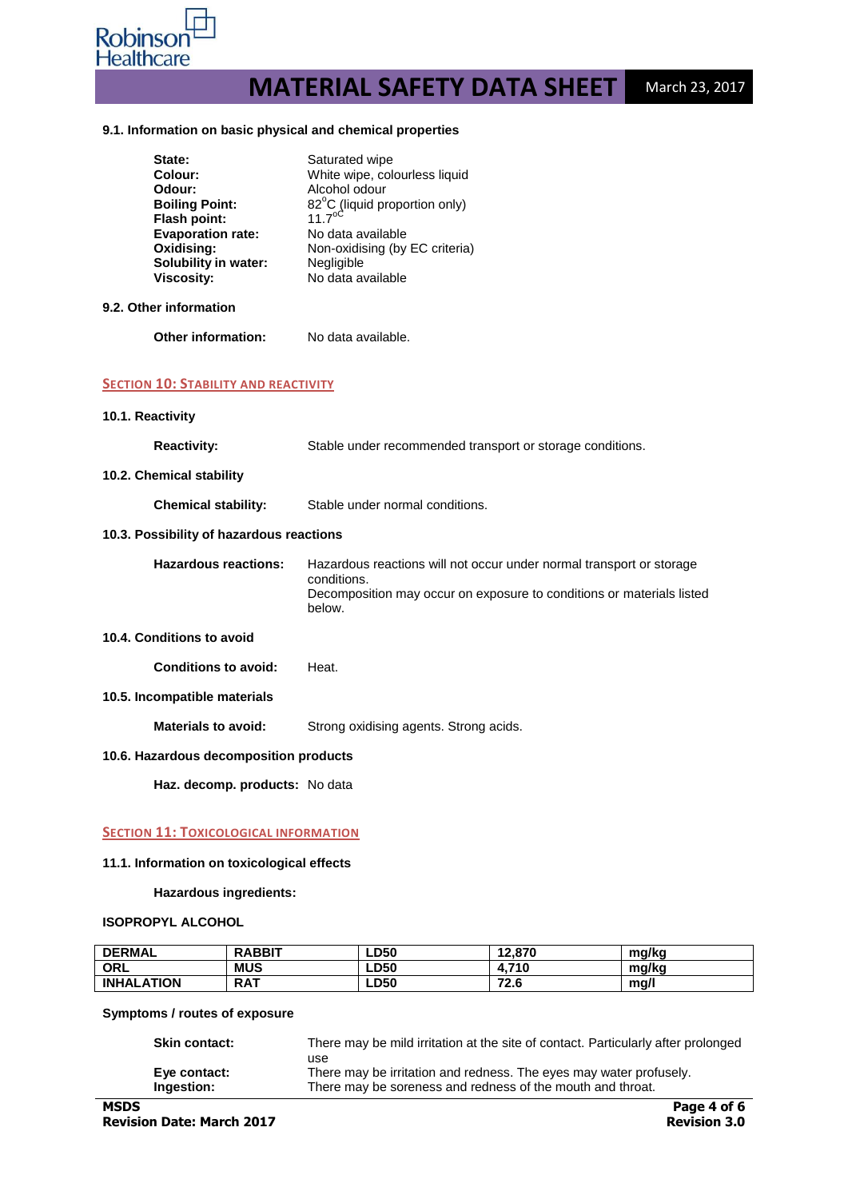

#### **9.1. Information on basic physical and chemical properties**

| State:<br><b>Colour:</b><br>Odour:<br><b>Boiling Point:</b><br>Flash point:<br><b>Evaporation rate:</b><br>Oxidising:<br>Solubility in water:<br><b>Viscosity:</b> | Saturated wipe<br>White wipe, colourless liquid<br>Alcohol odour<br>82°C (liquid proportion only)<br>$11.7^{\circ c}$<br>No data available<br>Non-oxidising (by EC criteria)<br>Negligible<br>No data available |
|--------------------------------------------------------------------------------------------------------------------------------------------------------------------|-----------------------------------------------------------------------------------------------------------------------------------------------------------------------------------------------------------------|
| 9.2. Other information                                                                                                                                             |                                                                                                                                                                                                                 |
| Other information:                                                                                                                                                 | No data available.                                                                                                                                                                                              |
| <b>SECTION 10: STABILITY AND REACTIVITY</b>                                                                                                                        |                                                                                                                                                                                                                 |
| 10.1. Reactivity                                                                                                                                                   |                                                                                                                                                                                                                 |
| <b>Reactivity:</b>                                                                                                                                                 | Stable under recommended transport or storage conditions.                                                                                                                                                       |
| 10.2. Chemical stability                                                                                                                                           |                                                                                                                                                                                                                 |
| <b>Chemical stability:</b>                                                                                                                                         | Stable under normal conditions.                                                                                                                                                                                 |
| 10.3. Possibility of hazardous reactions                                                                                                                           |                                                                                                                                                                                                                 |
| <b>Hazardous reactions:</b>                                                                                                                                        | Hazardous reactions will not occur under normal transport or storage<br>conditions.<br>Decomposition may occur on exposure to conditions or materials listed<br>below.                                          |
| 10.4. Conditions to avoid                                                                                                                                          |                                                                                                                                                                                                                 |
| <b>Conditions to avoid:</b>                                                                                                                                        | Heat.                                                                                                                                                                                                           |
| 10.5. Incompatible materials                                                                                                                                       |                                                                                                                                                                                                                 |
| <b>Materials to avoid:</b>                                                                                                                                         | Strong oxidising agents. Strong acids.                                                                                                                                                                          |
| 10.6. Hazardous decomposition products                                                                                                                             |                                                                                                                                                                                                                 |
| Haz. decomp. products: No data                                                                                                                                     |                                                                                                                                                                                                                 |
|                                                                                                                                                                    |                                                                                                                                                                                                                 |

# **SECTION 11: TOXICOLOGICAL INFORMATION**

#### **11.1. Information on toxicological effects**

#### **Hazardous ingredients:**

# **ISOPROPYL ALCOHOL**

| <b>DERMAL</b>     | <b>RABBIT</b> | <b>LD50</b> | 12,870      | ma/ka |
|-------------------|---------------|-------------|-------------|-------|
| <b>ORL</b>        | <b>MUS</b>    | <b>LD50</b> | .710<br>4.1 | ma/ka |
| <b>INHALATION</b> | <b>RAT</b>    | <b>LD50</b> | 72.6        | ma/'  |

# **Symptoms / routes of exposure**

| <b>Skin contact:</b> | There may be mild irritation at the site of contact. Particularly after prolonged |
|----------------------|-----------------------------------------------------------------------------------|
|                      | use                                                                               |
| Eye contact:         | There may be irritation and redness. The eyes may water profusely.                |
| Ingestion:           | There may be soreness and redness of the mouth and throat.                        |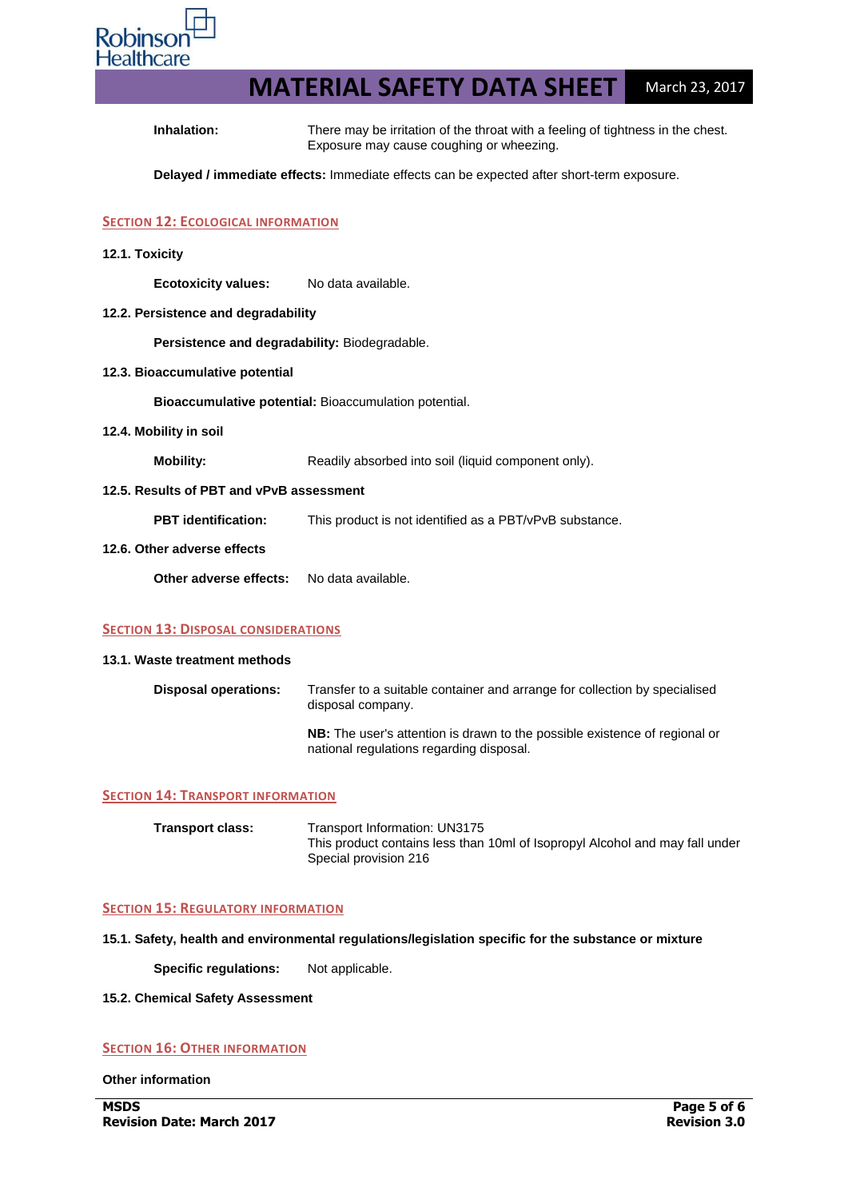

**Inhalation:** There may be irritation of the throat with a feeling of tightness in the chest. Exposure may cause coughing or wheezing.

**Delayed / immediate effects:** Immediate effects can be expected after short-term exposure.

# **SECTION 12: ECOLOGICAL INFORMATION**

**12.1. Toxicity**

**Ecotoxicity values:** No data available.

**12.2. Persistence and degradability**

**Persistence and degradability:** Biodegradable.

**12.3. Bioaccumulative potential**

**Bioaccumulative potential:** Bioaccumulation potential.

**12.4. Mobility in soil**

**Mobility:** Readily absorbed into soil (liquid component only).

# **12.5. Results of PBT and vPvB assessment**

**PBT identification:** This product is not identified as a PBT/vPvB substance.

#### **12.6. Other adverse effects**

**Other adverse effects:** No data available.

#### **SECTION 13: DISPOSAL CONSIDERATIONS**

#### **13.1. Waste treatment methods**

| Disposal operations: | Transfer to a suitable container and arrange for collection by specialised<br>disposal company.                               |
|----------------------|-------------------------------------------------------------------------------------------------------------------------------|
|                      | <b>NB:</b> The user's attention is drawn to the possible existence of regional or<br>national regulations regarding disposal. |

#### **SECTION 14: TRANSPORT INFORMATION**

| <b>Transport class:</b> | Transport Information: UN3175                                                                         |
|-------------------------|-------------------------------------------------------------------------------------------------------|
|                         | This product contains less than 10ml of Isopropyl Alcohol and may fall under<br>Special provision 216 |

## **SECTION 15: REGULATORY INFORMATION**

**15.1. Safety, health and environmental regulations/legislation specific for the substance or mixture**

**Specific regulations:** Not applicable.

#### **15.2. Chemical Safety Assessment**

# **SECTION 16: OTHER INFORMATION**

**Other information**